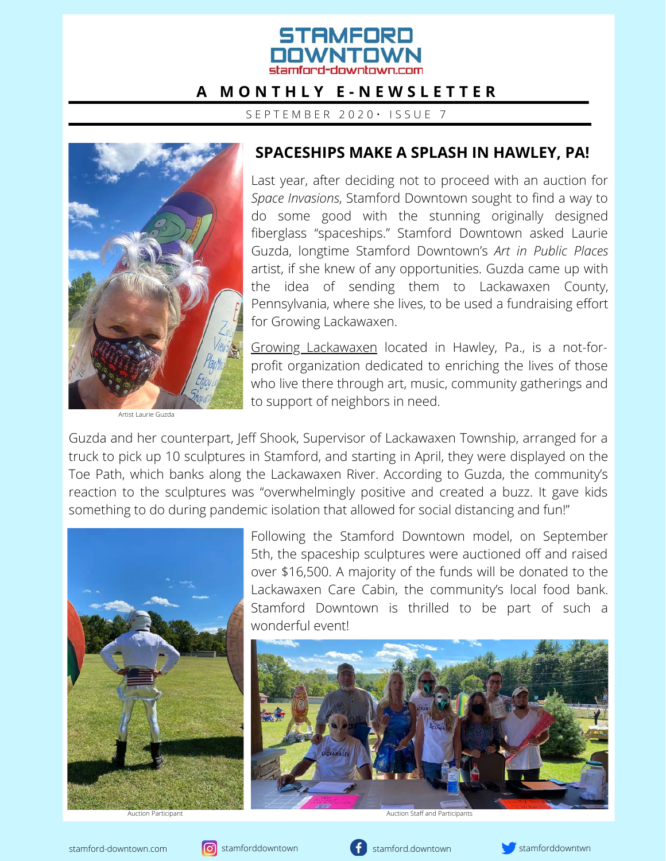# STAMFNRN stamford-downtown com

#### **A M O N T H L Y E - N E W S L E T T E R**

S E P T E M B E R 2 0 2 0 · I S S U E 7



#### **SPACESHIPS MAKE A SPLASH IN HAWLEY, PA!**

Last year, after deciding not to proceed with an auction for *Space Invasions*, Stamford Downtown sought to find a way to do some good with the stunning originally designed fiberglass "spaceships." Stamford Downtown asked Laurie Guzda, longtime Stamford Downtown's *Art in Public Places* artist, if she knew of any opportunities. Guzda came up with the idea of sending them to Lackawaxen County, Pennsylvania, where she lives, to be used a fundraising effort for Growing Lackawaxen.

[Growing Lackawaxen](http://growinglackawaxen.com/) located in Hawley, Pa., is a not-forprofit organization dedicated to enriching the lives of those who live there through art, music, community gatherings and to support of neighbors in need.

Artist Laurie Guzda

Guzda and her counterpart, Jeff Shook, Supervisor of Lackawaxen Township, arranged for a truck to pick up 10 sculptures in Stamford, and starting in April, they were displayed on the Toe Path, which banks along the Lackawaxen River. According to Guzda, the community's reaction to the sculptures was "overwhelmingly positive and created a buzz. It gave kids something to do during pandemic isolation that allowed for social distancing and fun!"



Following the Stamford Downtown model, on September 5th, the spaceship sculptures were auctioned off and raised over \$16,500. A majority of the funds will be donated to the Lackawaxen Care Cabin, the community's local food bank. Stamford Downtown is thrilled to be part of such a wonderful event!



Auction Participant Auction Staff and Participants



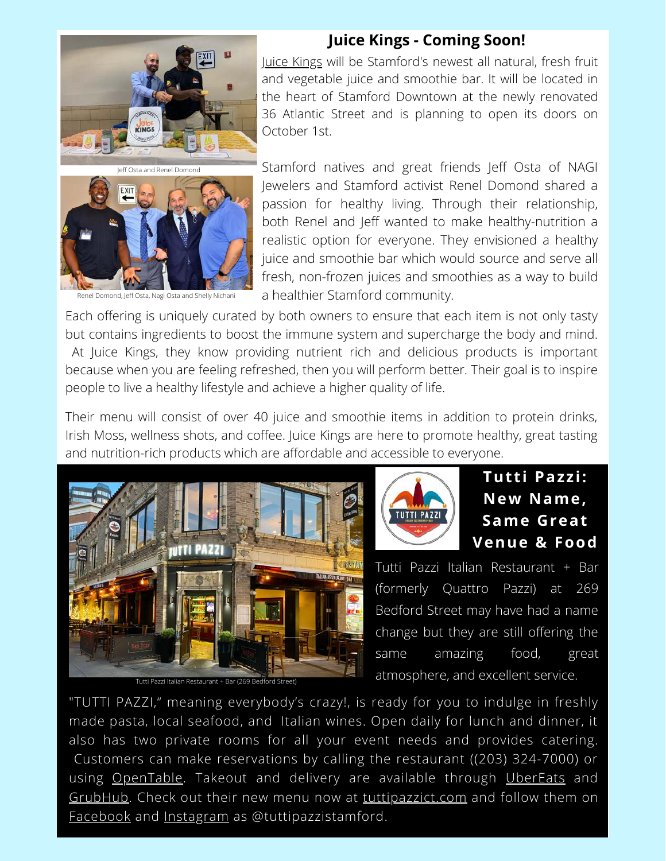

Renel Domond, Jeff Osta, Nagi Osta and Shelly Nichani

### **Juice Kings - Coming Soon!**

[Juice Kings](http://juice-kings.com/) will be Stamford's newest all natural, fresh fruit and vegetable juice and smoothie bar. It will be located in the heart of Stamford Downtown at the newly renovated 36 Atlantic Street and is planning to open its doors on October 1st.

Stamford natives and great friends Jeff Osta of NAGI Jewelers and Stamford activist Renel Domond shared a passion for healthy living. Through their relationship, both Renel and Jeff wanted to make healthy-nutrition a realistic option for everyone. They envisioned a healthy juice and smoothie bar which would source and serve all fresh, non-frozen juices and smoothies as a way to build a healthier Stamford community.

Each offering is uniquely curated by both owners to ensure that each item is not only tasty but contains ingredients to boost the immune system and supercharge the body and mind. At Juice Kings, they know providing nutrient rich and delicious products is important because when you are feeling refreshed, then you will perform better. Their goal is to inspire people to live a healthy lifestyle and achieve a higher quality of life.

Their menu will consist of over 40 juice and smoothie items in addition to protein drinks, Irish Moss, wellness shots, and coffee. Juice Kings are here to promote healthy, great tasting and nutrition-rich products which are affordable and accessible to everyone.





# **Tutti Pazzi: New Name, Same Great Venue & Food**

Tutti Pazzi Italian Restaurant + Bar (formerly Quattro Pazzi) at 269 Bedford Street may have had a name change but they are still offering the same amazing food, great atmosphere, and excellent service. Tutti Pazzi Italian Restaurant + Bar (269 Bedford Street)

"TUTTI PAZZI," meaning everybody's crazy!, is ready for you to indulge in freshly made pasta, local seafood, and Italian wines. Open daily for lunch and dinner, it also has two private rooms for all your event needs and provides catering. Customers can make reservations by calling the restaurant ((203) 324-7000) or using [OpenTable](https://www.opentable.com/r/tutti-pazzi-stamford). Takeout and delivery are available through [UberEats](https://www.ubereats.com/connecticut/food-delivery/tutti-pazzi/Iv_BNFKqQx-cSc5BrvwzFw) and [GrubHub.](https://www.grubhub.com/restaurant/tutti-pazzi-269-bedford-st-stamford/2333847) Check out their new menu now at [tuttipazzict.com](http://tuttipazzict.com/) and follow them on [Facebook](https://www.facebook.com/tuttipazzistamford) and [Instagram](https://www.instagram.com/tuttipazzistamford/) as @tuttipazzistamford.